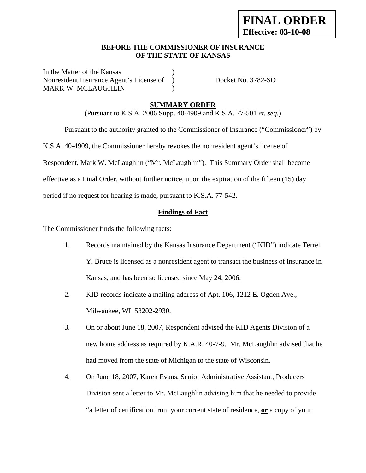## **BEFORE THE COMMISSIONER OF INSURANCE OF THE STATE OF KANSAS**

In the Matter of the Kansas Nonresident Insurance Agent's License of ) Docket No. 3782-SO MARK W. MCLAUGHLIN (1998)

# **SUMMARY ORDER**

(Pursuant to K.S.A. 2006 Supp. 40-4909 and K.S.A. 77-501 *et. seq.*)

Pursuant to the authority granted to the Commissioner of Insurance ("Commissioner") by

K.S.A. 40-4909, the Commissioner hereby revokes the nonresident agent's license of

Respondent, Mark W. McLaughlin ("Mr. McLaughlin"). This Summary Order shall become

effective as a Final Order, without further notice, upon the expiration of the fifteen (15) day

period if no request for hearing is made, pursuant to K.S.A. 77-542.

## **Findings of Fact**

The Commissioner finds the following facts:

- 1. Records maintained by the Kansas Insurance Department ("KID") indicate Terrel Y. Bruce is licensed as a nonresident agent to transact the business of insurance in Kansas, and has been so licensed since May 24, 2006.
- 2. KID records indicate a mailing address of Apt. 106, 1212 E. Ogden Ave., Milwaukee, WI 53202-2930.
- 3. On or about June 18, 2007, Respondent advised the KID Agents Division of a new home address as required by K.A.R. 40-7-9. Mr. McLaughlin advised that he had moved from the state of Michigan to the state of Wisconsin.
- 4. On June 18, 2007, Karen Evans, Senior Administrative Assistant, Producers Division sent a letter to Mr. McLaughlin advising him that he needed to provide "a letter of certification from your current state of residence, **or** a copy of your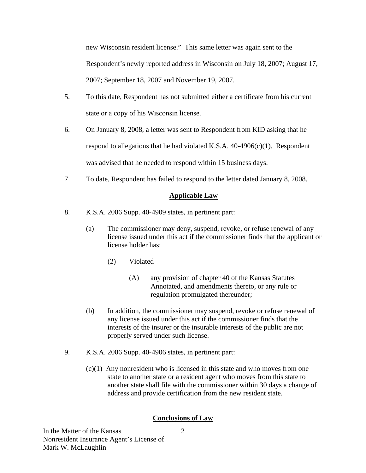new Wisconsin resident license." This same letter was again sent to the Respondent's newly reported address in Wisconsin on July 18, 2007; August 17, 2007; September 18, 2007 and November 19, 2007.

- 5. To this date, Respondent has not submitted either a certificate from his current state or a copy of his Wisconsin license.
- 6. On January 8, 2008, a letter was sent to Respondent from KID asking that he respond to allegations that he had violated K.S.A.  $40-4906(c)(1)$ . Respondent was advised that he needed to respond within 15 business days.
- 7. To date, Respondent has failed to respond to the letter dated January 8, 2008.

# **Applicable Law**

- 8. K.S.A. 2006 Supp. 40-4909 states, in pertinent part:
	- (a) The commissioner may deny, suspend, revoke, or refuse renewal of any license issued under this act if the commissioner finds that the applicant or license holder has:
		- (2) Violated
			- (A) any provision of chapter 40 of the Kansas Statutes Annotated, and amendments thereto, or any rule or regulation promulgated thereunder;
	- (b) In addition, the commissioner may suspend, revoke or refuse renewal of any license issued under this act if the commissioner finds that the interests of the insurer or the insurable interests of the public are not properly served under such license.
- 9. K.S.A. 2006 Supp. 40-4906 states, in pertinent part:
	- $(c)(1)$  Any nonresident who is licensed in this state and who moves from one state to another state or a resident agent who moves from this state to another state shall file with the commissioner within 30 days a change of address and provide certification from the new resident state.

# **Conclusions of Law**

2

In the Matter of the Kansas Nonresident Insurance Agent's License of Mark W. McLaughlin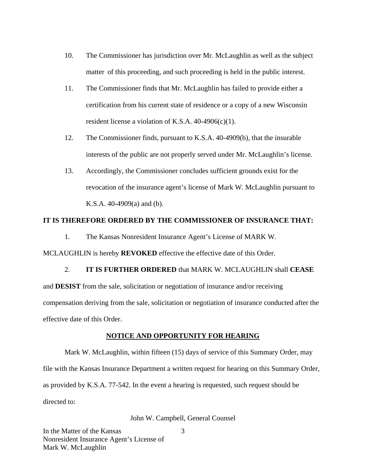- 10. The Commissioner has jurisdiction over Mr. McLaughlin as well as the subject matter of this proceeding, and such proceeding is held in the public interest.
- 11. The Commissioner finds that Mr. McLaughlin has failed to provide either a certification from his current state of residence or a copy of a new Wisconsin resident license a violation of K.S.A. 40-4906(c)(1).
- 12. The Commissioner finds, pursuant to K.S.A. 40-4909(b), that the insurable interests of the public are not properly served under Mr. McLaughlin's license.
- 13. Accordingly, the Commissioner concludes sufficient grounds exist for the revocation of the insurance agent's license of Mark W. McLaughlin pursuant to K.S.A. 40-4909(a) and (b).

### **IT IS THEREFORE ORDERED BY THE COMMISSIONER OF INSURANCE THAT:**

1. The Kansas Nonresident Insurance Agent's License of MARK W.

MCLAUGHLIN is hereby **REVOKED** effective the effective date of this Order.

# 2. **IT IS FURTHER ORDERED** that MARK W. MCLAUGHLIN shall **CEASE**

and **DESIST** from the sale, solicitation or negotiation of insurance and/or receiving compensation deriving from the sale, solicitation or negotiation of insurance conducted after the effective date of this Order.

#### **NOTICE AND OPPORTUNITY FOR HEARING**

Mark W. McLaughlin, within fifteen (15) days of service of this Summary Order, may file with the Kansas Insurance Department a written request for hearing on this Summary Order, as provided by K.S.A. 77-542. In the event a hearing is requested, such request should be directed to:

#### John W. Campbell, General Counsel

3

In the Matter of the Kansas Nonresident Insurance Agent's License of Mark W. McLaughlin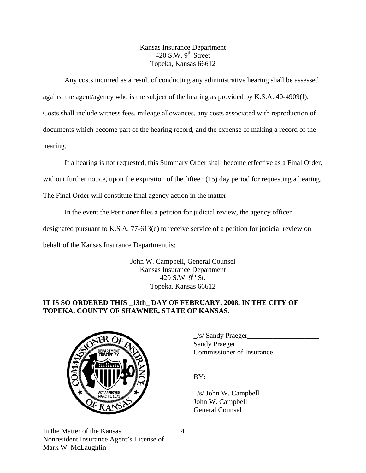Kansas Insurance Department 420 S.W.  $9<sup>th</sup>$  Street Topeka, Kansas 66612

Any costs incurred as a result of conducting any administrative hearing shall be assessed

against the agent/agency who is the subject of the hearing as provided by K.S.A. 40-4909(f).

Costs shall include witness fees, mileage allowances, any costs associated with reproduction of

documents which become part of the hearing record, and the expense of making a record of the

hearing.

If a hearing is not requested, this Summary Order shall become effective as a Final Order,

without further notice, upon the expiration of the fifteen (15) day period for requesting a hearing.

The Final Order will constitute final agency action in the matter.

In the event the Petitioner files a petition for judicial review, the agency officer

designated pursuant to K.S.A. 77-613(e) to receive service of a petition for judicial review on

behalf of the Kansas Insurance Department is:

John W. Campbell, General Counsel Kansas Insurance Department 420 S.W.  $9^{th}$  St. Topeka, Kansas 66612

# **IT IS SO ORDERED THIS \_13th\_ DAY OF FEBRUARY, 2008, IN THE CITY OF TOPEKA, COUNTY OF SHAWNEE, STATE OF KANSAS.**



 $\angle$ s/ Sandy Praeger $\angle$  Sandy Praeger EXTERING COMMISSIONER OF Insurance

 $\angle$ s/ John W. Campbell John W. Campbell General Counsel

In the Matter of the Kansas Nonresident Insurance Agent's License of Mark W. McLaughlin

4